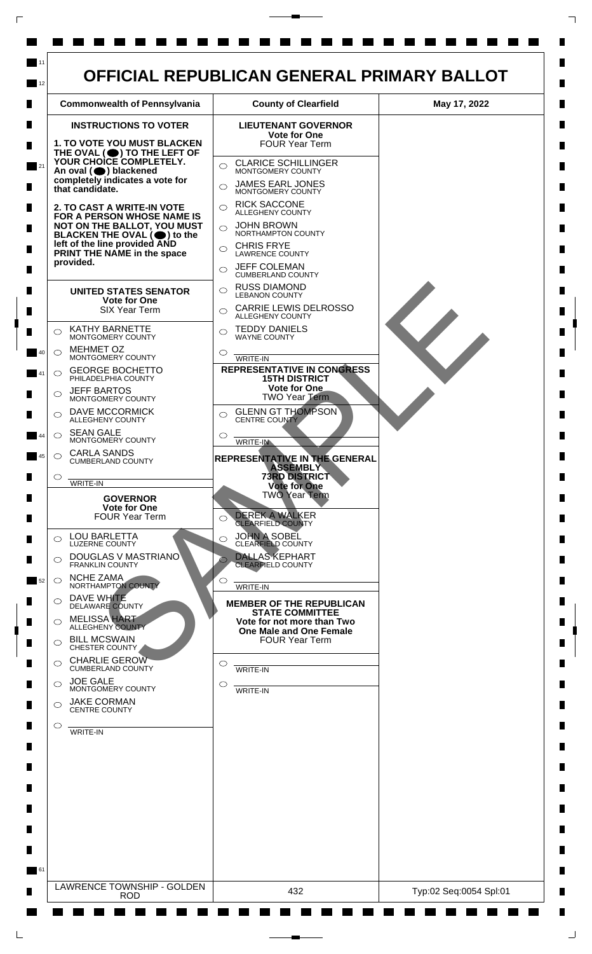

 $\Box$ 

 $\Box$